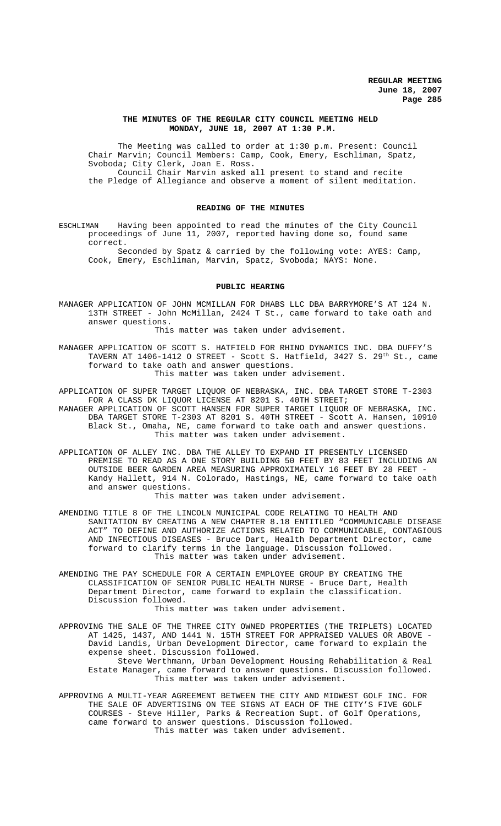## **THE MINUTES OF THE REGULAR CITY COUNCIL MEETING HELD MONDAY, JUNE 18, 2007 AT 1:30 P.M.**

The Meeting was called to order at 1:30 p.m. Present: Council Chair Marvin; Council Members: Camp, Cook, Emery, Eschliman, Spatz, Svoboda; City Clerk, Joan E. Ross. Council Chair Marvin asked all present to stand and recite the Pledge of Allegiance and observe a moment of silent meditation.

# **READING OF THE MINUTES**

ESCHLIMAN Having been appointed to read the minutes of the City Council proceedings of June 11, 2007, reported having done so, found same correct.

Seconded by Spatz & carried by the following vote: AYES: Camp, Cook, Emery, Eschliman, Marvin, Spatz, Svoboda; NAYS: None.

#### **PUBLIC HEARING**

MANAGER APPLICATION OF JOHN MCMILLAN FOR DHABS LLC DBA BARRYMORE'S AT 124 N. 13TH STREET - John McMillan, 2424 T St., came forward to take oath and answer questions.

This matter was taken under advisement.

MANAGER APPLICATION OF SCOTT S. HATFIELD FOR RHINO DYNAMICS INC. DBA DUFFY'S TAVERN AT 1406-1412 O STREET - Scott S. Hatfield, 3427 S. 29<sup>th</sup> St., came forward to take oath and answer questions. This matter was taken under advisement.

APPLICATION OF SUPER TARGET LIQUOR OF NEBRASKA, INC. DBA TARGET STORE T-2303 FOR A CLASS DK LIQUOR LICENSE AT 8201 S. 40TH STREET; MANAGER APPLICATION OF SCOTT HANSEN FOR SUPER TARGET LIQUOR OF NEBRASKA, INC. DBA TARGET STORE T-2303 AT 8201 S. 40TH STREET - Scott A. Hansen, 10910 Black St., Omaha, NE, came forward to take oath and answer questions. This matter was taken under advisement.

APPLICATION OF ALLEY INC. DBA THE ALLEY TO EXPAND IT PRESENTLY LICENSED PREMISE TO READ AS A ONE STORY BUILDING 50 FEET BY 83 FEET INCLUDING AN OUTSIDE BEER GARDEN AREA MEASURING APPROXIMATELY 16 FEET BY 28 FEET -Kandy Hallett, 914 N. Colorado, Hastings, NE, came forward to take oath and answer questions.

This matter was taken under advisement.

AMENDING TITLE 8 OF THE LINCOLN MUNICIPAL CODE RELATING TO HEALTH AND SANITATION BY CREATING A NEW CHAPTER 8.18 ENTITLED "COMMUNICABLE DISEASE ACT" TO DEFINE AND AUTHORIZE ACTIONS RELATED TO COMMUNICABLE, CONTAGIOUS AND INFECTIOUS DISEASES - Bruce Dart, Health Department Director, came forward to clarify terms in the language. Discussion followed. This matter was taken under advisement.

AMENDING THE PAY SCHEDULE FOR A CERTAIN EMPLOYEE GROUP BY CREATING THE CLASSIFICATION OF SENIOR PUBLIC HEALTH NURSE - Bruce Dart, Health Department Director, came forward to explain the classification. Discussion followed.

This matter was taken under advisement.

APPROVING THE SALE OF THE THREE CITY OWNED PROPERTIES (THE TRIPLETS) LOCATED AT 1425, 1437, AND 1441 N. 15TH STREET FOR APPRAISED VALUES OR ABOVE - David Landis, Urban Development Director, came forward to explain the expense sheet. Discussion followed. Steve Werthmann, Urban Development Housing Rehabilitation & Real

Estate Manager, came forward to answer questions. Discussion followed. This matter was taken under advisement.

APPROVING A MULTI-YEAR AGREEMENT BETWEEN THE CITY AND MIDWEST GOLF INC. FOR THE SALE OF ADVERTISING ON TEE SIGNS AT EACH OF THE CITY'S FIVE GOLF COURSES - Steve Hiller, Parks & Recreation Supt. of Golf Operations, came forward to answer questions. Discussion followed. This matter was taken under advisement.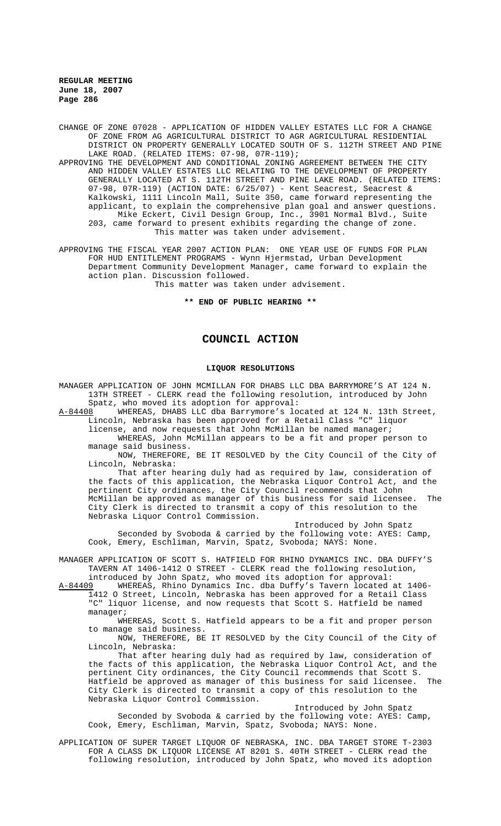CHANGE OF ZONE 07028 - APPLICATION OF HIDDEN VALLEY ESTATES LLC FOR A CHANGE OF ZONE FROM AG AGRICULTURAL DISTRICT TO AGR AGRICULTURAL RESIDENTIAL DISTRICT ON PROPERTY GENERALLY LOCATED SOUTH OF S. 112TH STREET AND PINE LAKE ROAD. (RELATED ITEMS: 07-98, 07R-119);

APPROVING THE DEVELOPMENT AND CONDITIONAL ZONING AGREEMENT BETWEEN THE CITY AND HIDDEN VALLEY ESTATES LLC RELATING TO THE DEVELOPMENT OF PROPERTY GENERALLY LOCATED AT S. 112TH STREET AND PINE LAKE ROAD. (RELATED ITEMS: 07-98, 07R-119) (ACTION DATE: 6/25/07) - Kent Seacrest, Seacrest & Kalkowski, 1111 Lincoln Mall, Suite 350, came forward representing the applicant, to explain the comprehensive plan goal and answer questions. Mike Eckert, Civil Design Group, Inc., 3901 Normal Blvd., Suite 203, came forward to present exhibits regarding the change of zone. This matter was taken under advisement.

APPROVING THE FISCAL YEAR 2007 ACTION PLAN: ONE YEAR USE OF FUNDS FOR PLAN FOR HUD ENTITLEMENT PROGRAMS - Wynn Hjermstad, Urban Development Department Community Development Manager, came forward to explain the action plan. Discussion followed.

This matter was taken under advisement.

**\*\* END OF PUBLIC HEARING \*\***

# **COUNCIL ACTION**

#### **LIQUOR RESOLUTIONS**

MANAGER APPLICATION OF JOHN MCMILLAN FOR DHABS LLC DBA BARRYMORE'S AT 124 N. 13TH STREET - CLERK read the following resolution, introduced by John

Spatz, who moved its adoption for approval:<br>A-84408 WHEREAS, DHABS LLC dba Barrymore's lo WHEREAS, DHABS LLC dba Barrymore's located at 124 N. 13th Street, Lincoln, Nebraska has been approved for a Retail Class "C" liquor

license, and now requests that John McMillan be named manager;

WHEREAS, John McMillan appears to be a fit and proper person to manage said business.

NOW, THEREFORE, BE IT RESOLVED by the City Council of the City of Lincoln, Nebraska:

That after hearing duly had as required by law, consideration of the facts of this application, the Nebraska Liquor Control Act, and the pertinent City ordinances, the City Council recommends that John McMillan be approved as manager of this business for said licensee. The City Clerk is directed to transmit a copy of this resolution to the Nebraska Liquor Control Commission.

Introduced by John Spatz Seconded by Svoboda & carried by the following vote: AYES: Camp, Cook, Emery, Eschliman, Marvin, Spatz, Svoboda; NAYS: None.

MANAGER APPLICATION OF SCOTT S. HATFIELD FOR RHINO DYNAMICS INC. DBA DUFFY'S TAVERN AT 1406-1412 O STREET - CLERK read the following resolution,

introduced by John Spatz, who moved its adoption for approval:<br>A-84409 WHEREAS, Rhino Dynamics Inc. dba Duffy's Tavern located WHEREAS, Rhino Dynamics Inc. dba Duffy's Tavern located at 1406-1412 O Street, Lincoln, Nebraska has been approved for a Retail Class "C" liquor license, and now requests that Scott S. Hatfield be named manager;

WHEREAS, Scott S. Hatfield appears to be a fit and proper person to manage said business.

NOW, THEREFORE, BE IT RESOLVED by the City Council of the City of Lincoln, Nebraska:

That after hearing duly had as required by law, consideration of the facts of this application, the Nebraska Liquor Control Act, and the pertinent City ordinances, the City Council recommends that Scott S. Hatfield be approved as manager of this business for said licensee. The City Clerk is directed to transmit a copy of this resolution to the Nebraska Liquor Control Commission.

Introduced by John Spatz Seconded by Svoboda & carried by the following vote: AYES: Camp, Cook, Emery, Eschliman, Marvin, Spatz, Svoboda; NAYS: None.

APPLICATION OF SUPER TARGET LIQUOR OF NEBRASKA, INC. DBA TARGET STORE T-2303 FOR A CLASS DK LIQUOR LICENSE AT 8201 S. 40TH STREET - CLERK read the following resolution, introduced by John Spatz, who moved its adoption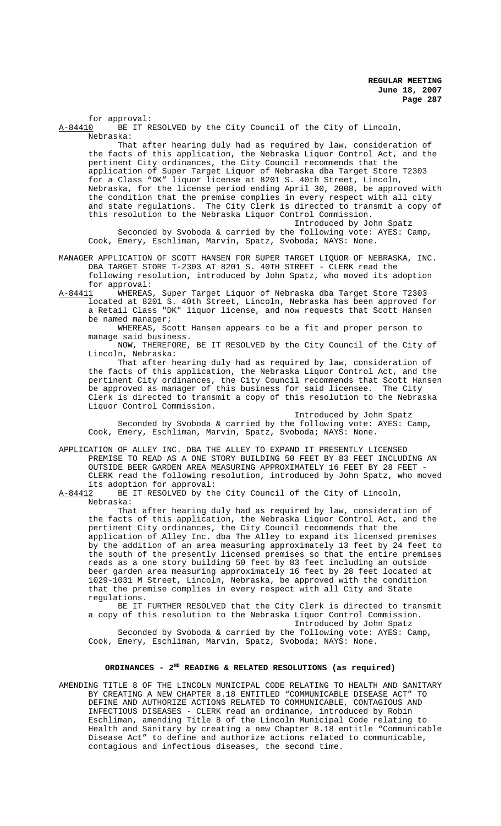for approval:<br>A-84410 BE IT R BE IT RESOLVED by the City Council of the City of Lincoln, Nebraska:

That after hearing duly had as required by law, consideration of the facts of this application, the Nebraska Liquor Control Act, and the pertinent City ordinances, the City Council recommends that the application of Super Target Liquor of Nebraska dba Target Store T2303 for a Class "DK" liquor license at 8201 S. 40th Street, Lincoln, Nebraska, for the license period ending April 30, 2008, be approved with the condition that the premise complies in every respect with all city and state regulations. The City Clerk is directed to transmit a copy of this resolution to the Nebraska Liquor Control Commission.

Introduced by John Spatz Seconded by Svoboda & carried by the following vote: AYES: Camp, Cook, Emery, Eschliman, Marvin, Spatz, Svoboda; NAYS: None.

MANAGER APPLICATION OF SCOTT HANSEN FOR SUPER TARGET LIQUOR OF NEBRASKA, INC. DBA TARGET STORE T-2303 AT 8201 S. 40TH STREET - CLERK read the following resolution, introduced by John Spatz, who moved its adoption for approval:

A-84411 WHEREAS, Super Target Liquor of Nebraska dba Target Store T2303 located at 8201 S. 40th Street, Lincoln, Nebraska has been approved for a Retail Class "DK" liquor license, and now requests that Scott Hansen be named manager;

WHEREAS, Scott Hansen appears to be a fit and proper person to manage said business.

NOW, THEREFORE, BE IT RESOLVED by the City Council of the City of Lincoln, Nebraska:

That after hearing duly had as required by law, consideration of the facts of this application, the Nebraska Liquor Control Act, and the pertinent City ordinances, the City Council recommends that Scott Hansen be approved as manager of this business for said licensee. The City Clerk is directed to transmit a copy of this resolution to the Nebraska Liquor Control Commission.

Introduced by John Spatz Seconded by Svoboda & carried by the following vote: AYES: Camp, Cook, Emery, Eschliman, Marvin, Spatz, Svoboda; NAYS: None.

APPLICATION OF ALLEY INC. DBA THE ALLEY TO EXPAND IT PRESENTLY LICENSED PREMISE TO READ AS A ONE STORY BUILDING 50 FEET BY 83 FEET INCLUDING AN OUTSIDE BEER GARDEN AREA MEASURING APPROXIMATELY 16 FEET BY 28 FEET -CLERK read the following resolution, introduced by John Spatz, who moved its adoption for approval:<br>A-84412 BE IT RESOLVED by the

BE IT RESOLVED by the City Council of the City of Lincoln, Nebraska:

That after hearing duly had as required by law, consideration of the facts of this application, the Nebraska Liquor Control Act, and the pertinent City ordinances, the City Council recommends that the application of Alley Inc. dba The Alley to expand its licensed premises by the addition of an area measuring approximately 13 feet by 24 feet to the south of the presently licensed premises so that the entire premises reads as a one story building 50 feet by 83 feet including an outside beer garden area measuring approximately 16 feet by 28 feet located at 1029-1031 M Street, Lincoln, Nebraska, be approved with the condition that the premise complies in every respect with all City and State regulations.

BE IT FURTHER RESOLVED that the City Clerk is directed to transmit a copy of this resolution to the Nebraska Liquor Control Commission.

Introduced by John Spatz Seconded by Svoboda & carried by the following vote: AYES: Camp, Cook, Emery, Eschliman, Marvin, Spatz, Svoboda; NAYS: None.

# **ORDINANCES - 2ND READING & RELATED RESOLUTIONS (as required)**

AMENDING TITLE 8 OF THE LINCOLN MUNICIPAL CODE RELATING TO HEALTH AND SANITARY BY CREATING A NEW CHAPTER 8.18 ENTITLED "COMMUNICABLE DISEASE ACT" TO DEFINE AND AUTHORIZE ACTIONS RELATED TO COMMUNICABLE, CONTAGIOUS AND INFECTIOUS DISEASES - CLERK read an ordinance, introduced by Robin Eschliman, amending Title 8 of the Lincoln Municipal Code relating to Health and Sanitary by creating a new Chapter 8.18 entitle "Communicable Disease Act" to define and authorize actions related to communicable, contagious and infectious diseases, the second time.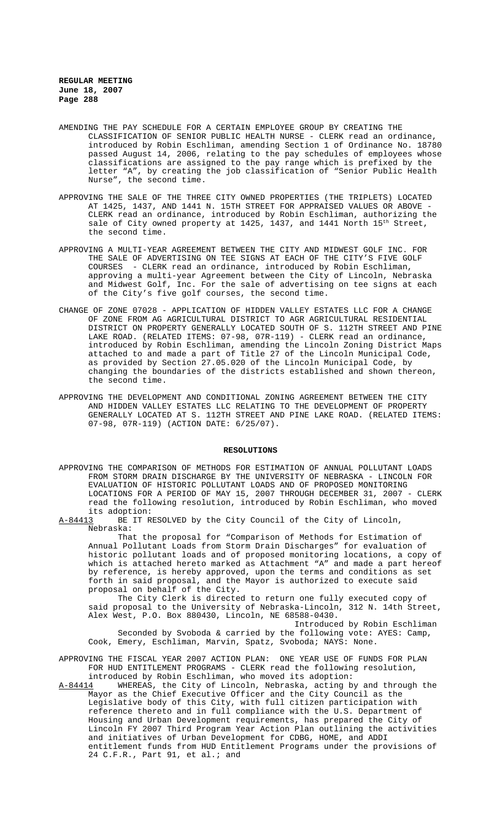- AMENDING THE PAY SCHEDULE FOR A CERTAIN EMPLOYEE GROUP BY CREATING THE CLASSIFICATION OF SENIOR PUBLIC HEALTH NURSE - CLERK read an ordinance, introduced by Robin Eschliman, amending Section 1 of Ordinance No. 18780 passed August 14, 2006, relating to the pay schedules of employees whose classifications are assigned to the pay range which is prefixed by the letter "A", by creating the job classification of "Senior Public Health Nurse", the second time.
- APPROVING THE SALE OF THE THREE CITY OWNED PROPERTIES (THE TRIPLETS) LOCATED AT 1425, 1437, AND 1441 N. 15TH STREET FOR APPRAISED VALUES OR ABOVE - CLERK read an ordinance, introduced by Robin Eschliman, authorizing the sale of City owned property at 1425, 1437, and 1441 North 15<sup>th</sup> Street, the second time.
- APPROVING A MULTI-YEAR AGREEMENT BETWEEN THE CITY AND MIDWEST GOLF INC. FOR THE SALE OF ADVERTISING ON TEE SIGNS AT EACH OF THE CITY'S FIVE GOLF COURSES - CLERK read an ordinance, introduced by Robin Eschliman, approving a multi-year Agreement between the City of Lincoln, Nebraska and Midwest Golf, Inc. For the sale of advertising on tee signs at each of the City's five golf courses, the second time.
- CHANGE OF ZONE 07028 APPLICATION OF HIDDEN VALLEY ESTATES LLC FOR A CHANGE OF ZONE FROM AG AGRICULTURAL DISTRICT TO AGR AGRICULTURAL RESIDENTIAL DISTRICT ON PROPERTY GENERALLY LOCATED SOUTH OF S. 112TH STREET AND PINE LAKE ROAD. (RELATED ITEMS: 07-98, 07R-119) - CLERK read an ordinance, introduced by Robin Eschliman, amending the Lincoln Zoning District Maps attached to and made a part of Title 27 of the Lincoln Municipal Code, as provided by Section 27.05.020 of the Lincoln Municipal Code, by changing the boundaries of the districts established and shown thereon, the second time.
- APPROVING THE DEVELOPMENT AND CONDITIONAL ZONING AGREEMENT BETWEEN THE CITY AND HIDDEN VALLEY ESTATES LLC RELATING TO THE DEVELOPMENT OF PROPERTY GENERALLY LOCATED AT S. 112TH STREET AND PINE LAKE ROAD. (RELATED ITEMS: 07-98, 07R-119) (ACTION DATE: 6/25/07).

#### **RESOLUTIONS**

APPROVING THE COMPARISON OF METHODS FOR ESTIMATION OF ANNUAL POLLUTANT LOADS FROM STORM DRAIN DISCHARGE BY THE UNIVERSITY OF NEBRASKA - LINCOLN FOR EVALUATION OF HISTORIC POLLUTANT LOADS AND OF PROPOSED MONITORING LOCATIONS FOR A PERIOD OF MAY 15, 2007 THROUGH DECEMBER 31, 2007 - CLERK read the following resolution, introduced by Robin Eschliman, who moved its adoption:

A-84413 BE IT RESOLVED by the City Council of the City of Lincoln, Nebraska:

That the proposal for "Comparison of Methods for Estimation of Annual Pollutant Loads from Storm Drain Discharges" for evaluation of historic pollutant loads and of proposed monitoring locations, a copy of which is attached hereto marked as Attachment "A" and made a part hereof by reference, is hereby approved, upon the terms and conditions as set forth in said proposal, and the Mayor is authorized to execute said proposal on behalf of the City.

The City Clerk is directed to return one fully executed copy of said proposal to the University of Nebraska-Lincoln, 312 N. 14th Street, Alex West, P.O. Box 880430, Lincoln, NE 68588-0430.

Introduced by Robin Eschliman Seconded by Svoboda & carried by the following vote: AYES: Camp, Cook, Emery, Eschliman, Marvin, Spatz, Svoboda; NAYS: None.

APPROVING THE FISCAL YEAR 2007 ACTION PLAN: ONE YEAR USE OF FUNDS FOR PLAN FOR HUD ENTITLEMENT PROGRAMS - CLERK read the following resolution, introduced by Robin Eschliman, who moved its adoption:

A-84414 WHEREAS, the City of Lincoln, Nebraska, acting by and through the Mayor as the Chief Executive Officer and the City Council as the Legislative body of this City, with full citizen participation with reference thereto and in full compliance with the U.S. Department of Housing and Urban Development requirements, has prepared the City of Lincoln FY 2007 Third Program Year Action Plan outlining the activities and initiatives of Urban Development for CDBG, HOME, and ADDI entitlement funds from HUD Entitlement Programs under the provisions of 24 C.F.R., Part 91, et al.; and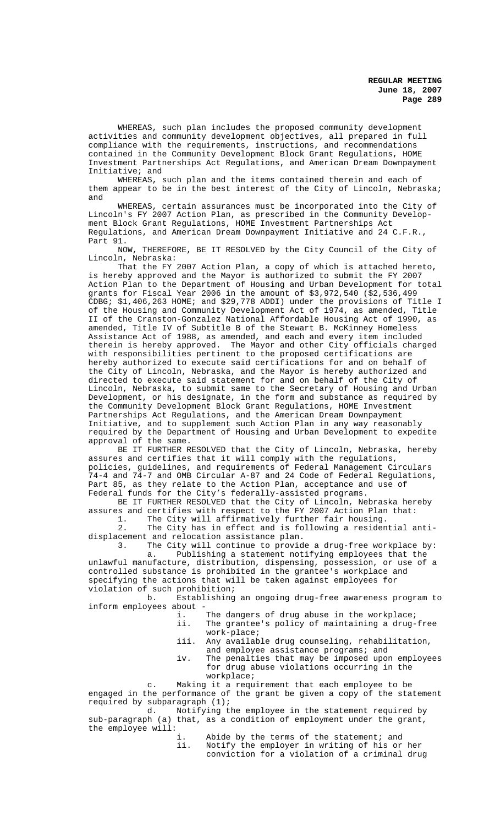WHEREAS, such plan includes the proposed community development activities and community development objectives, all prepared in full compliance with the requirements, instructions, and recommendations contained in the Community Development Block Grant Regulations, HOME Investment Partnerships Act Regulations, and American Dream Downpayment Initiative; and

WHEREAS, such plan and the items contained therein and each of them appear to be in the best interest of the City of Lincoln, Nebraska; and

WHEREAS, certain assurances must be incorporated into the City of Lincoln's FY 2007 Action Plan, as prescribed in the Community Development Block Grant Regulations, HOME Investment Partnerships Act Regulations, and American Dream Downpayment Initiative and 24 C.F.R., Part 91.

NOW, THEREFORE, BE IT RESOLVED by the City Council of the City of Lincoln, Nebraska:

That the FY 2007 Action Plan, a copy of which is attached hereto, is hereby approved and the Mayor is authorized to submit the FY 2007 Action Plan to the Department of Housing and Urban Development for total grants for Fiscal Year 2006 in the amount of \$3,972,540 (\$2,536,499 CDBG; \$1,406,263 HOME; and \$29,778 ADDI) under the provisions of Title I of the Housing and Community Development Act of 1974, as amended, Title II of the Cranston-Gonzalez National Affordable Housing Act of 1990, as amended, Title IV of Subtitle B of the Stewart B. McKinney Homeless Assistance Act of 1988, as amended, and each and every item included therein is hereby approved. The Mayor and other City officials charged with responsibilities pertinent to the proposed certifications are hereby authorized to execute said certifications for and on behalf of the City of Lincoln, Nebraska, and the Mayor is hereby authorized and directed to execute said statement for and on behalf of the City of Lincoln, Nebraska, to submit same to the Secretary of Housing and Urban Development, or his designate, in the form and substance as required by the Community Development Block Grant Regulations, HOME Investment Partnerships Act Regulations, and the American Dream Downpayment Initiative, and to supplement such Action Plan in any way reasonably required by the Department of Housing and Urban Development to expedite approval of the same.

BE IT FURTHER RESOLVED that the City of Lincoln, Nebraska, hereby assures and certifies that it will comply with the regulations, policies, guidelines, and requirements of Federal Management Circulars 74-4 and 74-7 and OMB Circular A-87 and 24 Code of Federal Regulations, Part 85, as they relate to the Action Plan, acceptance and use of Federal funds for the City's federally-assisted programs.

BE IT FURTHER RESOLVED that the City of Lincoln, Nebraska hereby assures and certifies with respect to the FY 2007 Action Plan that: 1. The City will affirmatively further fair housing.

2. The City has in effect and is following a residential antidisplacement and relocation assistance plan.

3. The City will continue to provide a drug-free workplace by: a. Publishing a statement notifying employees that the unlawful manufacture, distribution, dispensing, possession, or use of a controlled substance is prohibited in the grantee's workplace and specifying the actions that will be taken against employees for

violation of such prohibition;<br>b. Establishing b. Establishing an ongoing drug-free awareness program to inform employees about -

- i. The dangers of drug abuse in the workplace;
- ii. The grantee's policy of maintaining a drug-free work-place;
- iii. Any available drug counseling, rehabilitation, and employee assistance programs; and
- iv. The penalties that may be imposed upon employees for drug abuse violations occurring in the workplace;

c. Making it a requirement that each employee to be engaged in the performance of the grant be given a copy of the statement required by subparagraph (1);

d. Notifying the employee in the statement required by sub-paragraph (a) that, as a condition of employment under the grant, the employee will:

- Abide by the terms of the statement; and
- ii. Notify the employer in writing of his or her conviction for a violation of a criminal drug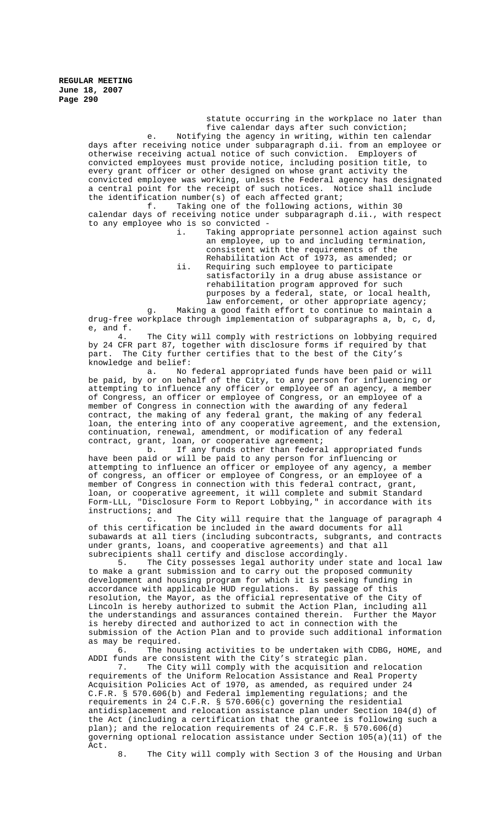statute occurring in the workplace no later than five calendar days after such conviction; e. Notifying the agency in writing, within ten calendar days after receiving notice under subparagraph d.ii. from an employee or otherwise receiving actual notice of such conviction. Employers of convicted employees must provide notice, including position title, to every grant officer or other designed on whose grant activity the convicted employee was working, unless the Federal agency has designated a central point for the receipt of such notices. Notice shall include the identification number(s) of each affected grant;<br>f. Taking one of the following action Taking one of the following actions, within 30

calendar days of receiving notice under subparagraph d.ii., with respect to any employee who is so convicted -

i. Taking appropriate personnel action against such an employee, up to and including termination, consistent with the requirements of the Rehabilitation Act of 1973, as amended; or ii. Requiring such employee to participate satisfactorily in a drug abuse assistance or rehabilitation program approved for such purposes by a federal, state, or local health, law enforcement, or other appropriate agency;

g. Making a good faith effort to continue to maintain a drug-free workplace through implementation of subparagraphs a, b, c, d, e, and f.

4. The City will comply with restrictions on lobbying required by 24 CFR part 87, together with disclosure forms if required by that part. The City further certifies that to the best of the City's knowledge and belief:<br>a. No:

No federal appropriated funds have been paid or will be paid, by or on behalf of the City, to any person for influencing or attempting to influence any officer or employee of an agency, a member of Congress, an officer or employee of Congress, or an employee of a member of Congress in connection with the awarding of any federal contract, the making of any federal grant, the making of any federal loan, the entering into of any cooperative agreement, and the extension, continuation, renewal, amendment, or modification of any federal contract, grant, loan, or cooperative agreement;

b. If any funds other than federal appropriated funds have been paid or will be paid to any person for influencing or attempting to influence an officer or employee of any agency, a member of congress, an officer or employee of Congress, or an employee of a member of Congress in connection with this federal contract, grant, loan, or cooperative agreement, it will complete and submit Standard Form-LLL, "Disclosure Form to Report Lobbying," in accordance with its instructions; and<br>c.

The City will require that the language of paragraph 4 of this certification be included in the award documents for all subawards at all tiers (including subcontracts, subgrants, and contracts under grants, loans, and cooperative agreements) and that all subrecipients shall certify and disclose accordingly.

5. The City possesses legal authority under state and local law to make a grant submission and to carry out the proposed community development and housing program for which it is seeking funding in accordance with applicable HUD regulations. By passage of this resolution, the Mayor, as the official representative of the City of Lincoln is hereby authorized to submit the Action Plan, including all the understandings and assurances contained therein. Further the Mayor is hereby directed and authorized to act in connection with the submission of the Action Plan and to provide such additional information

as may be required.<br>6. The hou The housing activities to be undertaken with CDBG, HOME, and ADDI funds are consistent with the City's strategic plan.

7. The City will comply with the acquisition and relocation requirements of the Uniform Relocation Assistance and Real Property Acquisition Policies Act of 1970, as amended, as required under 24 C.F.R. § 570.606(b) and Federal implementing regulations; and the requirements in 24 C.F.R. § 570.606(c) governing the residential antidisplacement and relocation assistance plan under Section 104(d) of the Act (including a certification that the grantee is following such a plan); and the relocation requirements of 24 C.F.R. § 570.606(d) governing optional relocation assistance under Section 105(a)(11) of the Act.

8. The City will comply with Section 3 of the Housing and Urban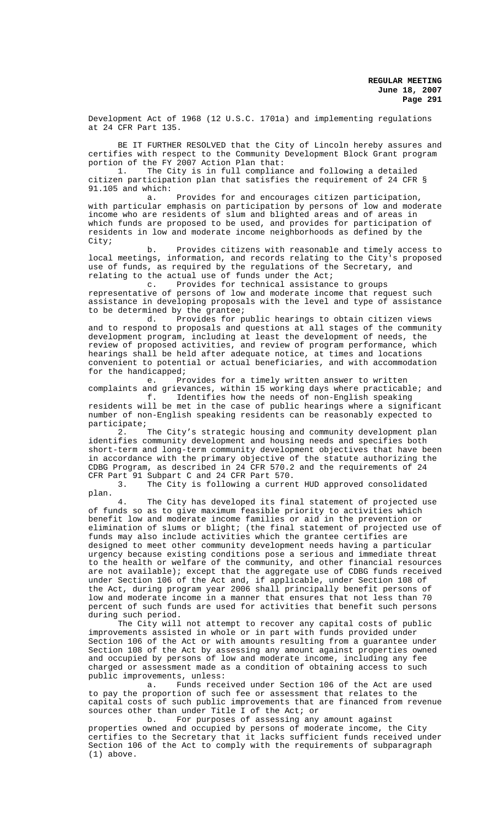Development Act of 1968 (12 U.S.C. 1701a) and implementing regulations at 24 CFR Part 135.

BE IT FURTHER RESOLVED that the City of Lincoln hereby assures and certifies with respect to the Community Development Block Grant program portion of the FY 2007 Action Plan that:

1. The City is in full compliance and following a detailed citizen participation plan that satisfies the requirement of 24 CFR § 91.105 and which:

a. Provides for and encourages citizen participation, with particular emphasis on participation by persons of low and moderate income who are residents of slum and blighted areas and of areas in which funds are proposed to be used, and provides for participation of residents in low and moderate income neighborhoods as defined by the City;

b. Provides citizens with reasonable and timely access to local meetings, information, and records relating to the City's proposed use of funds, as required by the regulations of the Secretary, and relating to the actual use of funds under the Act;

c. Provides for technical assistance to groups representative of persons of low and moderate income that request such assistance in developing proposals with the level and type of assistance to be determined by the grantee;<br>d. Provides for p

Provides for public hearings to obtain citizen views and to respond to proposals and questions at all stages of the community development program, including at least the development of needs, the review of proposed activities, and review of program performance, which hearings shall be held after adequate notice, at times and locations convenient to potential or actual beneficiaries, and with accommodation for the handicapped;

e. Provides for a timely written answer to written complaints and grievances, within 15 working days where practicable; and

f. Identifies how the needs of non-English speaking residents will be met in the case of public hearings where a significant number of non-English speaking residents can be reasonably expected to participate;

The City's strategic housing and community development plan identifies community development and housing needs and specifies both short-term and long-term community development objectives that have been in accordance with the primary objective of the statute authorizing the CDBG Program, as described in 24 CFR 570.2 and the requirements of 24 CFR Part 91 Subpart C and 24 CFR Part 570.

3. The City is following a current HUD approved consolidated plan.

4. The City has developed its final statement of projected use of funds so as to give maximum feasible priority to activities which benefit low and moderate income families or aid in the prevention or elimination of slums or blight; (the final statement of projected use of funds may also include activities which the grantee certifies are designed to meet other community development needs having a particular urgency because existing conditions pose a serious and immediate threat to the health or welfare of the community, and other financial resources are not available); except that the aggregate use of CDBG funds received under Section 106 of the Act and, if applicable, under Section 108 of the Act, during program year 2006 shall principally benefit persons of low and moderate income in a manner that ensures that not less than 70 percent of such funds are used for activities that benefit such persons during such period.

The City will not attempt to recover any capital costs of public improvements assisted in whole or in part with funds provided under Section 106 of the Act or with amounts resulting from a guarantee under Section 108 of the Act by assessing any amount against properties owned and occupied by persons of low and moderate income, including any fee charged or assessment made as a condition of obtaining access to such public improvements, unless:

a. Funds received under Section 106 of the Act are used to pay the proportion of such fee or assessment that relates to the capital costs of such public improvements that are financed from revenue sources other than under Title I of the Act; or

b. For purposes of assessing any amount against properties owned and occupied by persons of moderate income, the City certifies to the Secretary that it lacks sufficient funds received under Section 106 of the Act to comply with the requirements of subparagraph (1) above.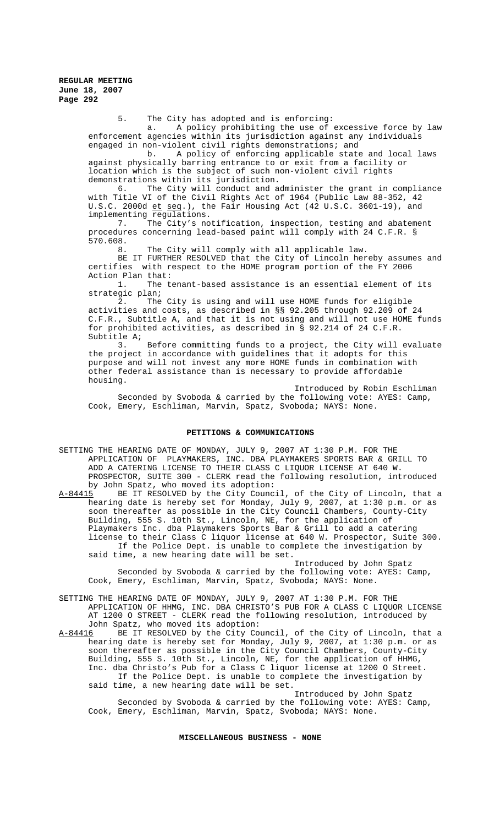5. The City has adopted and is enforcing:

a. A policy prohibiting the use of excessive force by law enforcement agencies within its jurisdiction against any individuals

engaged in non-violent civil rights demonstrations; and<br>b. A policy of enforcing applicable state A policy of enforcing applicable state and local laws against physically barring entrance to or exit from a facility or location which is the subject of such non-violent civil rights demonstrations within its jurisdiction.

6. The City will conduct and administer the grant in compliance with Title VI of the Civil Rights Act of 1964 (Public Law 88-352, 42 U.S.C. 2000d et seq.), the Fair Housing Act (42 U.S.C. 3601-19), and implementing regulations.

7. The City's notification, inspection, testing and abatement procedures concerning lead-based paint will comply with 24 C.F.R. § 570.608.<br>8

The City will comply with all applicable law.

BE IT FURTHER RESOLVED that the City of Lincoln hereby assumes and certifies with respect to the HOME program portion of the FY 2006 Action Plan that:

1. The tenant-based assistance is an essential element of its strategic plan;

2. The City is using and will use HOME funds for eligible activities and costs, as described in §§ 92.205 through 92.209 of 24 C.F.R., Subtitle A, and that it is not using and will not use HOME funds for prohibited activities, as described in § 92.214 of 24 C.F.R. Subtitle A;

3. Before committing funds to a project, the City will evaluate the project in accordance with guidelines that it adopts for this purpose and will not invest any more HOME funds in combination with other federal assistance than is necessary to provide affordable housing.

Introduced by Robin Eschliman Seconded by Svoboda & carried by the following vote: AYES: Camp, Cook, Emery, Eschliman, Marvin, Spatz, Svoboda; NAYS: None.

### **PETITIONS & COMMUNICATIONS**

SETTING THE HEARING DATE OF MONDAY, JULY 9, 2007 AT 1:30 P.M. FOR THE APPLICATION OF PLAYMAKERS, INC. DBA PLAYMAKERS SPORTS BAR & GRILL TO ADD A CATERING LICENSE TO THEIR CLASS C LIQUOR LICENSE AT 640 W. PROSPECTOR, SUITE 300 - CLERK read the following resolution, introduced by John Spatz, who moved its adoption:

A-84415 BE IT RESOLVED by the City Council, of the City of Lincoln, that a hearing date is hereby set for Monday, July 9, 2007, at 1:30 p.m. or as soon thereafter as possible in the City Council Chambers, County-City Building, 555 S. 10th St., Lincoln, NE, for the application of Playmakers Inc. dba Playmakers Sports Bar & Grill to add a catering license to their Class C liquor license at 640 W. Prospector, Suite 300. If the Police Dept. is unable to complete the investigation by said time, a new hearing date will be set.

Introduced by John Spatz Seconded by Svoboda & carried by the following vote: AYES: Camp, Cook, Emery, Eschliman, Marvin, Spatz, Svoboda; NAYS: None.

SETTING THE HEARING DATE OF MONDAY, JULY 9, 2007 AT 1:30 P.M. FOR THE APPLICATION OF HHMG, INC. DBA CHRISTO'S PUB FOR A CLASS C LIQUOR LICENSE AT 1200 O STREET - CLERK read the following resolution, introduced by John Spatz, who moved its adoption:<br>A-84416 BE IT RESOLVED by the City Co

BE IT RESOLVED by the City Council, of the City of Lincoln, that a hearing date is hereby set for Monday, July 9, 2007, at 1:30 p.m. or as soon thereafter as possible in the City Council Chambers, County-City Building, 555 S. 10th St., Lincoln, NE, for the application of HHMG, Inc. dba Christo's Pub for a Class C liquor license at 1200 O Street. If the Police Dept. is unable to complete the investigation by said time, a new hearing date will be set.

Introduced by John Spatz Seconded by Svoboda & carried by the following vote: AYES: Camp, Cook, Emery, Eschliman, Marvin, Spatz, Svoboda; NAYS: None.

#### **MISCELLANEOUS BUSINESS - NONE**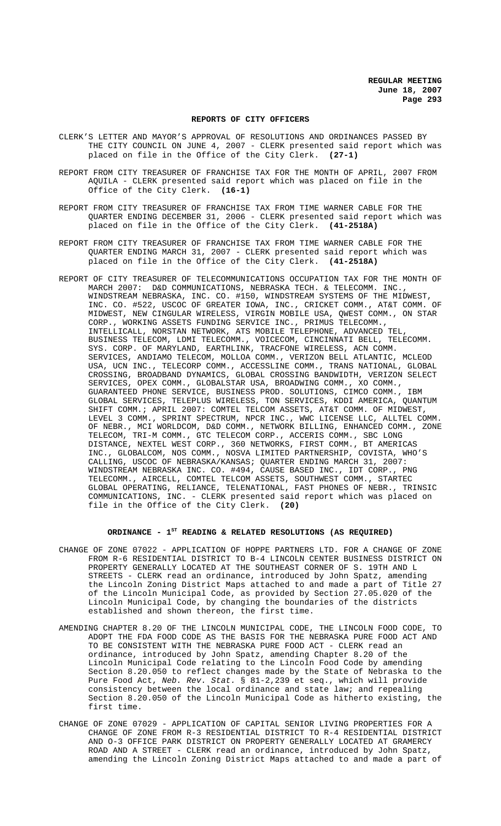#### **REPORTS OF CITY OFFICERS**

- CLERK'S LETTER AND MAYOR'S APPROVAL OF RESOLUTIONS AND ORDINANCES PASSED BY THE CITY COUNCIL ON JUNE 4, 2007 - CLERK presented said report which was placed on file in the Office of the City Clerk. **(27-1)**
- REPORT FROM CITY TREASURER OF FRANCHISE TAX FOR THE MONTH OF APRIL, 2007 FROM AQUILA - CLERK presented said report which was placed on file in the Office of the City Clerk. **(16-1)**
- REPORT FROM CITY TREASURER OF FRANCHISE TAX FROM TIME WARNER CABLE FOR THE QUARTER ENDING DECEMBER 31, 2006 - CLERK presented said report which was placed on file in the Office of the City Clerk. **(41-2518A)**
- REPORT FROM CITY TREASURER OF FRANCHISE TAX FROM TIME WARNER CABLE FOR THE QUARTER ENDING MARCH 31, 2007 - CLERK presented said report which was placed on file in the Office of the City Clerk. **(41-2518A)**
- REPORT OF CITY TREASURER OF TELECOMMUNICATIONS OCCUPATION TAX FOR THE MONTH OF MARCH 2007: D&D COMMUNICATIONS, NEBRASKA TECH. & TELECOMM. INC. WINDSTREAM NEBRASKA, INC. CO. #150, WINDSTREAM SYSTEMS OF THE MIDWEST, INC. CO. #522, USCOC OF GREATER IOWA, INC., CRICKET COMM., AT&T COMM. OF MIDWEST, NEW CINGULAR WIRELESS, VIRGIN MOBILE USA, QWEST COMM., ON STAR CORP., WORKING ASSETS FUNDING SERVICE INC., PRIMUS TELECOMM., INTELLICALL, NORSTAN NETWORK, ATS MOBILE TELEPHONE, ADVANCED TEL, BUSINESS TELECOM, LDMI TELECOMM., VOICECOM, CINCINNATI BELL, TELECOMM. SYS. CORP. OF MARYLAND, EARTHLINK, TRACFONE WIRELESS, ACN COMM. SERVICES, ANDIAMO TELECOM, MOLLOA COMM., VERIZON BELL ATLANTIC, MCLEOD USA, UCN INC., TELECORP COMM., ACCESSLINE COMM., TRANS NATIONAL, GLOBAL CROSSING, BROADBAND DYNAMICS, GLOBAL CROSSING BANDWIDTH, VERIZON SELECT SERVICES, OPEX COMM., GLOBALSTAR USA, BROADWING COMM., XO COMM., GUARANTEED PHONE SERVICE, BUSINESS PROD. SOLUTIONS, CIMCO COMM., IBM GLOBAL SERVICES, TELEPLUS WIRELESS, TON SERVICES, KDDI AMERICA, QUANTUM SHIFT COMM.; APRIL 2007: COMTEL TELCOM ASSETS, AT&T COMM. OF MIDWEST, LEVEL 3 COMM., SPRINT SPECTRUM, NPCR INC., WWC LICENSE LLC, ALLTEL COMM. OF NEBR., MCI WORLDCOM, D&D COMM., NETWORK BILLING, ENHANCED COMM., ZONE TELECOM, TRI-M COMM., GTC TELECOM CORP., ACCERIS COMM., SBC LONG DISTANCE, NEXTEL WEST CORP., 360 NETWORKS, FIRST COMM., BT AMERICAS INC., GLOBALCOM, NOS COMM., NOSVA LIMITED PARTNERSHIP, COVISTA, WHO'S CALLING, USCOC OF NEBRASKA/KANSAS; QUARTER ENDING MARCH 31, 2007: WINDSTREAM NEBRASKA INC. CO. #494, CAUSE BASED INC., IDT CORP., PNG TELECOMM., AIRCELL, COMTEL TELCOM ASSETS, SOUTHWEST COMM., STARTEC GLOBAL OPERATING, RELIANCE, TELENATIONAL, FAST PHONES OF NEBR., TRINSIC COMMUNICATIONS, INC. - CLERK presented said report which was placed on file in the Office of the City Clerk. **(20)**

### **ORDINANCE - 1ST READING & RELATED RESOLUTIONS (AS REQUIRED)**

- CHANGE OF ZONE 07022 APPLICATION OF HOPPE PARTNERS LTD. FOR A CHANGE OF ZONE FROM R-6 RESIDENTIAL DISTRICT TO B-4 LINCOLN CENTER BUSINESS DISTRICT ON PROPERTY GENERALLY LOCATED AT THE SOUTHEAST CORNER OF S. 19TH AND L STREETS - CLERK read an ordinance, introduced by John Spatz, amending the Lincoln Zoning District Maps attached to and made a part of Title 27 of the Lincoln Municipal Code, as provided by Section 27.05.020 of the Lincoln Municipal Code, by changing the boundaries of the districts established and shown thereon, the first time.
- AMENDING CHAPTER 8.20 OF THE LINCOLN MUNICIPAL CODE, THE LINCOLN FOOD CODE, TO ADOPT THE FDA FOOD CODE AS THE BASIS FOR THE NEBRASKA PURE FOOD ACT AND TO BE CONSISTENT WITH THE NEBRASKA PURE FOOD ACT - CLERK read an ordinance, introduced by John Spatz, amending Chapter 8.20 of the Lincoln Municipal Code relating to the Lincoln Food Code by amending Section 8.20.050 to reflect changes made by the State of Nebraska to the Pure Food Act, *Neb. Rev. Stat.* § 81-2,239 et seq., which will provide consistency between the local ordinance and state law; and repealing Section 8.20.050 of the Lincoln Municipal Code as hitherto existing, the first time.
- CHANGE OF ZONE 07029 APPLICATION OF CAPITAL SENIOR LIVING PROPERTIES FOR A CHANGE OF ZONE FROM R-3 RESIDENTIAL DISTRICT TO R-4 RESIDENTIAL DISTRICT AND O-3 OFFICE PARK DISTRICT ON PROPERTY GENERALLY LOCATED AT GRAMERCY ROAD AND A STREET - CLERK read an ordinance, introduced by John Spatz, amending the Lincoln Zoning District Maps attached to and made a part of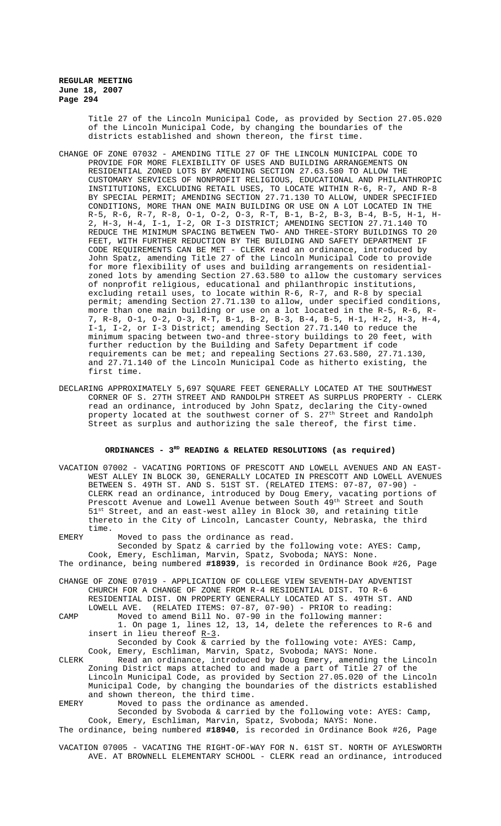Title 27 of the Lincoln Municipal Code, as provided by Section 27.05.020 of the Lincoln Municipal Code, by changing the boundaries of the districts established and shown thereon, the first time.

- CHANGE OF ZONE 07032 AMENDING TITLE 27 OF THE LINCOLN MUNICIPAL CODE TO PROVIDE FOR MORE FLEXIBILITY OF USES AND BUILDING ARRANGEMENTS ON RESIDENTIAL ZONED LOTS BY AMENDING SECTION 27.63.580 TO ALLOW THE CUSTOMARY SERVICES OF NONPROFIT RELIGIOUS, EDUCATIONAL AND PHILANTHROPIC INSTITUTIONS, EXCLUDING RETAIL USES, TO LOCATE WITHIN R-6, R-7, AND R-8 BY SPECIAL PERMIT; AMENDING SECTION 27.71.130 TO ALLOW, UNDER SPECIFIED CONDITIONS, MORE THAN ONE MAIN BUILDING OR USE ON A LOT LOCATED IN THE R-5, R-6, R-7, R-8, O-1, O-2, O-3, R-T, B-1, B-2, B-3, B-4, B-5, H-1, H-2, H-3, H-4, I-1, I-2, OR I-3 DISTRICT; AMENDING SECTION 27.71.140 TO REDUCE THE MINIMUM SPACING BETWEEN TWO- AND THREE-STORY BUILDINGS TO 20 FEET, WITH FURTHER REDUCTION BY THE BUILDING AND SAFETY DEPARTMENT IF CODE REQUIREMENTS CAN BE MET - CLERK read an ordinance, introduced by John Spatz, amending Title 27 of the Lincoln Municipal Code to provide for more flexibility of uses and building arrangements on residentialzoned lots by amending Section 27.63.580 to allow the customary services of nonprofit religious, educational and philanthropic institutions, excluding retail uses, to locate within R-6, R-7, and R-8 by special permit; amending Section 27.71.130 to allow, under specified conditions, more than one main building or use on a lot located in the R-5, R-6, R-7, R-8, O-1, O-2, O-3, R-T, B-1, B-2, B-3, B-4, B-5, H-1, H-2, H-3, H-4, I-1, I-2, or I-3 District; amending Section 27.71.140 to reduce the minimum spacing between two-and three-story buildings to 20 feet, with further reduction by the Building and Safety Department if code requirements can be met; and repealing Sections 27.63.580, 27.71.130, and 27.71.140 of the Lincoln Municipal Code as hitherto existing, the first time.
- DECLARING APPROXIMATELY 5,697 SQUARE FEET GENERALLY LOCATED AT THE SOUTHWEST CORNER OF S. 27TH STREET AND RANDOLPH STREET AS SURPLUS PROPERTY - CLERK read an ordinance, introduced by John Spatz, declaring the City-owned property located at the southwest corner of S. 27<sup>th</sup> Street and Randolph Street as surplus and authorizing the sale thereof, the first time.

# ORDINANCES - 3<sup>RD</sup> READING & RELATED RESOLUTIONS (as required)

- VACATION 07002 VACATING PORTIONS OF PRESCOTT AND LOWELL AVENUES AND AN EAST-WEST ALLEY IN BLOCK 30, GENERALLY LOCATED IN PRESCOTT AND LOWELL AVENUES BETWEEN S. 49TH ST. AND S. 51ST ST. (RELATED ITEMS: 07-87, 07-90) -CLERK read an ordinance, introduced by Doug Emery, vacating portions of Prescott Avenue and Lowell Avenue between South 49th Street and South 51st Street, and an east-west alley in Block 30, and retaining title thereto in the City of Lincoln, Lancaster County, Nebraska, the third time.
- EMERY Moved to pass the ordinance as read. Seconded by Spatz & carried by the following vote: AYES: Camp, Cook, Emery, Eschliman, Marvin, Spatz, Svoboda; NAYS: None. The ordinance, being numbered **#18939**, is recorded in Ordinance Book #26, Page
- CHANGE OF ZONE 07019 APPLICATION OF COLLEGE VIEW SEVENTH-DAY ADVENTIST CHURCH FOR A CHANGE OF ZONE FROM R-4 RESIDENTIAL DIST. TO R-6 RESIDENTIAL DIST. ON PROPERTY GENERALLY LOCATED AT S. 49TH ST. AND LOWELL AVE. (RELATED ITEMS: 07-87, 07-90) - PRIOR to reading: (RELATED ITEMS: 07-87, 07-90) - PRIOR to reading:
- CAMP Moved to amend Bill No. 07-90 in the following manner: 1. On page 1, lines 12, 13, 14, delete the references to R-6 and insert in lieu thereof  $R-3$ .

Seconded by Cook & carried by the following vote: AYES: Camp, Cook, Emery, Eschliman, Marvin, Spatz, Svoboda; NAYS: None.

- CLERK Read an ordinance, introduced by Doug Emery, amending the Lincoln Zoning District maps attached to and made a part of Title 27 of the Lincoln Municipal Code, as provided by Section 27.05.020 of the Lincoln Municipal Code, by changing the boundaries of the districts established and shown thereon, the third time.
- EMERY Moved to pass the ordinance as amended.

Seconded by Svoboda & carried by the following vote: AYES: Camp, Cook, Emery, Eschliman, Marvin, Spatz, Svoboda; NAYS: None.

The ordinance, being numbered **#18940**, is recorded in Ordinance Book #26, Page

VACATION 07005 - VACATING THE RIGHT-OF-WAY FOR N. 61ST ST. NORTH OF AYLESWORTH AVE. AT BROWNELL ELEMENTARY SCHOOL - CLERK read an ordinance, introduced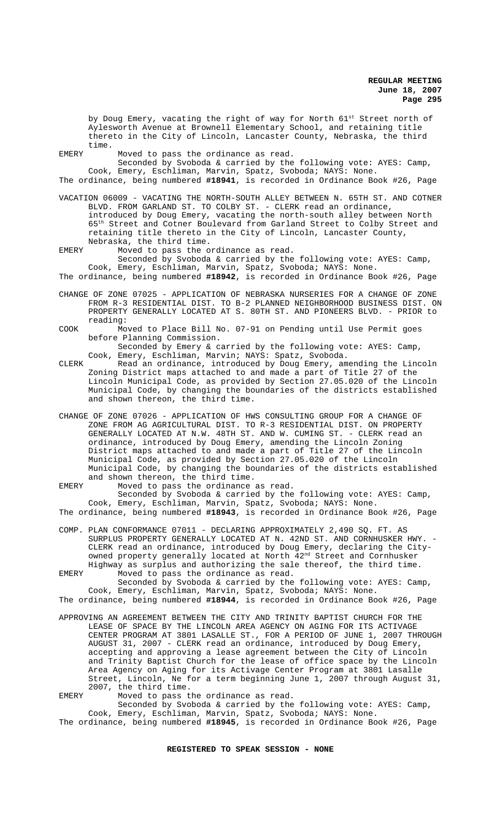by Doug Emery, vacating the right of way for North 61st Street north of Aylesworth Avenue at Brownell Elementary School, and retaining title thereto in the City of Lincoln, Lancaster County, Nebraska, the third time.

EMERY Moved to pass the ordinance as read.

Seconded by Svoboda & carried by the following vote: AYES: Camp, Cook, Emery, Eschliman, Marvin, Spatz, Svoboda; NAYS: None.

The ordinance, being numbered **#18941**, is recorded in Ordinance Book #26, Page

- VACATION 06009 VACATING THE NORTH-SOUTH ALLEY BETWEEN N. 65TH ST. AND COTNER BLVD. FROM GARLAND ST. TO COLBY ST. - CLERK read an ordinance, introduced by Doug Emery, vacating the north-south alley between North 65th Street and Cotner Boulevard from Garland Street to Colby Street and retaining title thereto in the City of Lincoln, Lancaster County, Nebraska, the third time.
- EMERY Moved to pass the ordinance as read.

Seconded by Svoboda & carried by the following vote: AYES: Camp, Cook, Emery, Eschliman, Marvin, Spatz, Svoboda; NAYS: None.

The ordinance, being numbered **#18942**, is recorded in Ordinance Book #26, Page

- CHANGE OF ZONE 07025 APPLICATION OF NEBRASKA NURSERIES FOR A CHANGE OF ZONE FROM R-3 RESIDENTIAL DIST. TO B-2 PLANNED NEIGHBORHOOD BUSINESS DIST. ON PROPERTY GENERALLY LOCATED AT S. 80TH ST. AND PIONEERS BLVD. - PRIOR to reading:
- COOK Moved to Place Bill No. 07-91 on Pending until Use Permit goes before Planning Commission.

Seconded by Emery & carried by the following vote: AYES: Camp, Cook, Emery, Eschliman, Marvin; NAYS: Spatz, Svoboda.

- CLERK Read an ordinance, introduced by Doug Emery, amending the Lincoln Zoning District maps attached to and made a part of Title 27 of the Lincoln Municipal Code, as provided by Section 27.05.020 of the Lincoln Municipal Code, by changing the boundaries of the districts established and shown thereon, the third time.
- CHANGE OF ZONE 07026 APPLICATION OF HWS CONSULTING GROUP FOR A CHANGE OF ZONE FROM AG AGRICULTURAL DIST. TO R-3 RESIDENTIAL DIST. ON PROPERTY GENERALLY LOCATED AT N.W. 48TH ST. AND W. CUMING ST. - CLERK read an ordinance, introduced by Doug Emery, amending the Lincoln Zoning District maps attached to and made a part of Title 27 of the Lincoln Municipal Code, as provided by Section 27.05.020 of the Lincoln Municipal Code, by changing the boundaries of the districts established and shown thereon, the third time.

EMERY Moved to pass the ordinance as read. Seconded by Svoboda & carried by the following vote: AYES: Camp, Cook, Emery, Eschliman, Marvin, Spatz, Svoboda; NAYS: None. The ordinance, being numbered **#18943**, is recorded in Ordinance Book #26, Page

COMP. PLAN CONFORMANCE 07011 - DECLARING APPROXIMATELY 2,490 SQ. FT. AS SURPLUS PROPERTY GENERALLY LOCATED AT N. 42ND ST. AND CORNHUSKER HWY. - CLERK read an ordinance, introduced by Doug Emery, declaring the Cityowned property generally located at North 42nd Street and Cornhusker Highway as surplus and authorizing the sale thereof, the third time. EMERY Moved to pass the ordinance as read.

Seconded by Svoboda & carried by the following vote: AYES: Camp, Cook, Emery, Eschliman, Marvin, Spatz, Svoboda; NAYS: None. The ordinance, being numbered **#18944**, is recorded in Ordinance Book #26, Page

APPROVING AN AGREEMENT BETWEEN THE CITY AND TRINITY BAPTIST CHURCH FOR THE LEASE OF SPACE BY THE LINCOLN AREA AGENCY ON AGING FOR ITS ACTIVAGE CENTER PROGRAM AT 3801 LASALLE ST., FOR A PERIOD OF JUNE 1, 2007 THROUGH AUGUST 31, 2007 - CLERK read an ordinance, introduced by Doug Emery, accepting and approving a lease agreement between the City of Lincoln and Trinity Baptist Church for the lease of office space by the Lincoln Area Agency on Aging for its Activage Center Program at 3801 Lasalle Street, Lincoln, Ne for a term beginning June 1, 2007 through August 31, 2007, the third time.

EMERY Moved to pass the ordinance as read.

Seconded by Svoboda & carried by the following vote: AYES: Camp, Cook, Emery, Eschliman, Marvin, Spatz, Svoboda; NAYS: None.

The ordinance, being numbered **#18945**, is recorded in Ordinance Book #26, Page

# **REGISTERED TO SPEAK SESSION - NONE**